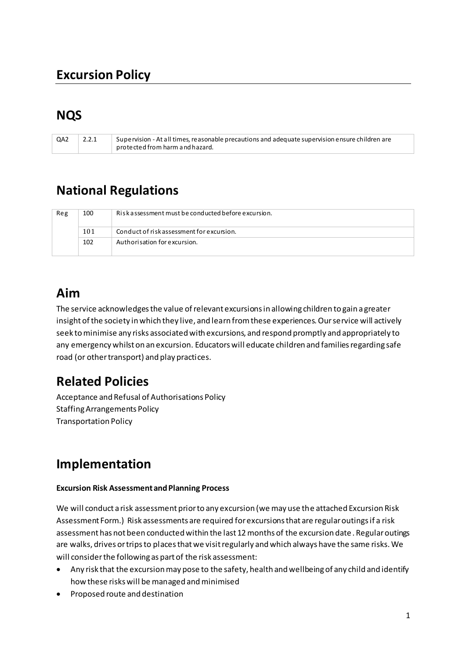# **Excursion Policy**

# **NQS**

| QA2 | Supervision - At all times, reasonable precautions and adequate supervision ensure children are |
|-----|-------------------------------------------------------------------------------------------------|
|     | protected from harm and hazard.                                                                 |

### **National Regulations**

| Reg | Riskassessment must be conducted before excursion.<br>100 |                                           |
|-----|-----------------------------------------------------------|-------------------------------------------|
|     | 101                                                       | Conduct of risk assessment for excursion. |
|     | 102                                                       | Authorisation for excursion.              |

### **Aim**

The service acknowledges the value of relevant excursions in allowing children to gain a greater insight of the society in which they live, and learn from these experiences. Our service will actively seek to minimise any risks associated with excursions, and respond promptly and appropriately to any emergency whilst on an excursion. Educators will educate children and families regarding safe road (or other transport) and play practices.

## **Related Policies**

Acceptance and Refusal of Authorisations Policy Staffing Arrangements Policy Transportation Policy

## **Implementation**

#### **Excursion Risk Assessment and Planning Process**

We will conduct a risk assessment prior to any excursion (we may use the attached Excursion Risk Assessment Form.) Risk assessments are required for excursions that are regular outings if a risk assessment has not been conducted within the last 12 months of the excursion date . Regular outings are walks, drives or trips to places that we visit regularly and which always have the same risks. We will consider the following as part of the risk assessment:

- Any risk that the excursion may pose to the safety, health and wellbeing of any child and identify how these risks will be managed and minimised
- Proposed route and destination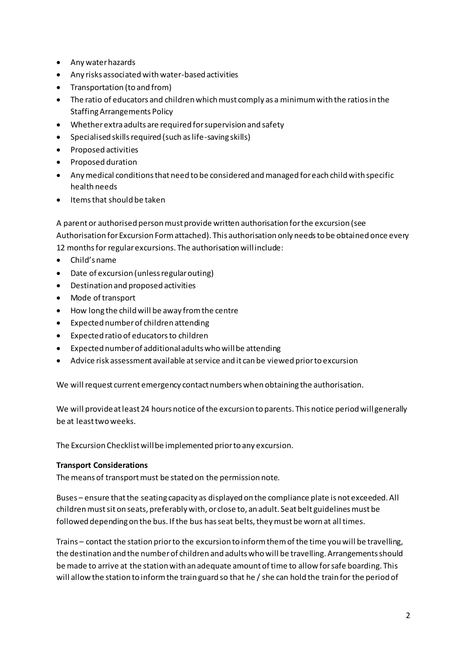- Any water hazards
- Any risks associated with water-based activities
- Transportation (to and from)
- The ratio of educators and children which must comply as a minimum with the ratios in the Staffing Arrangements Policy
- Whether extra adults are required for supervision and safety
- Specialised skills required (such as life-saving skills)
- Proposed activities
- Proposed duration
- Any medical conditions that need to be considered and managed for each child with specific health needs
- Items that should be taken

A parent or authorised person must provide written authorisation for the excursion (see Authorisation for Excursion Form attached). This authorisation only needs to be obtained once every 12 months for regular excursions. The authorisation will include:

- $\bullet$  Child's name
- Date of excursion (unless regular outing)
- Destination and proposed activities
- Mode of transport
- How long the child will be away from the centre
- Expected number of children attending
- Expected ratio of educators to children
- Expected number of additional adults who will be attending
- Advice risk assessment available at service and it can be viewed prior to excursion

We will request current emergency contact numbers when obtaining the authorisation.

We will provide at least 24 hours notice of the excursion to parents. This notice period will generally be at least two weeks.

The Excursion Checklist will be implemented prior to any excursion.

### **Transport Considerations**

The means of transport must be stated on the permission note.

Buses – ensure that the seating capacity as displayed on the compliance plate is not exceeded. All children must sit on seats, preferably with, or close to, an adult. Seat belt guidelines must be followed depending on the bus. If the bus has seat belts, they must be worn at all times.

Trains – contact the station prior to the excursion to inform them of the time you will be travelling, the destination and the number of children and adults who will be travelling. Arrangements should be made to arrive at the station with an adequate amount of time to allow for safe boarding. This will allow the station to inform the train guard so that he / she can hold the train for the period of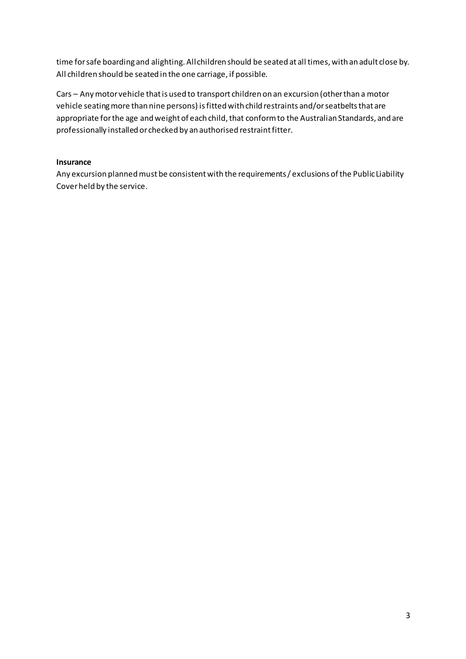time for safe boarding and alighting. All children should be seated at all times, with an adult close by. All children should be seated in the one carriage, if possible.

Cars – Any motor vehicle that is used to transport children on an excursion (other than a motor vehicle seating more than nine persons) is fitted with child restraints and/or seatbelts that are appropriate for the age and weight of each child, that conform to the Australian Standards, and are professionally installed or checked by an authorised restraint fitter.

### **Insurance**

Any excursion planned must be consistent with the requirements / exclusions of the Public Liability Cover held by the service.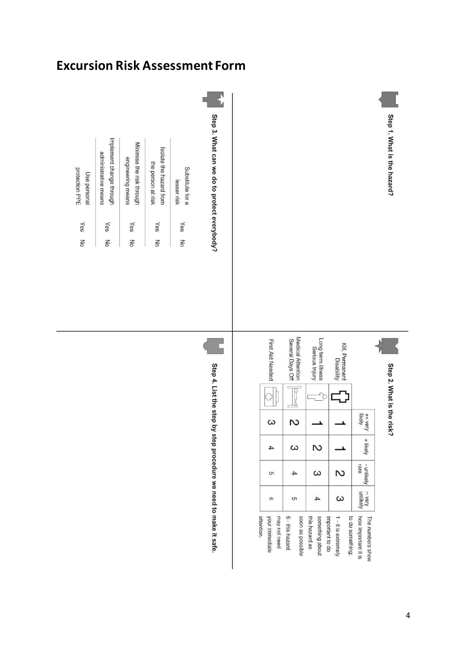# **Excursion Risk Assessment Form**

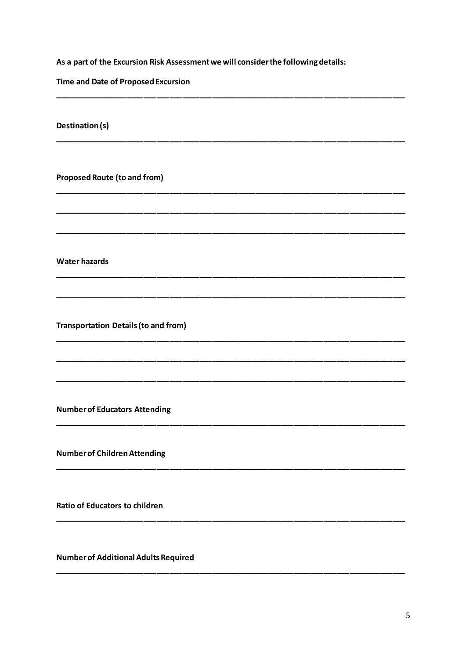As a part of the Excursion Risk Assessment we will consider the following details:

Time and Date of Proposed Excursion

Destination (s)

**Proposed Route (to and from)** 

**Water hazards** 

**Transportation Details (to and from)** 

**Number of Educators Attending** 

**Number of Children Attending** 

**Ratio of Educators to children** 

**Number of Additional Adults Required**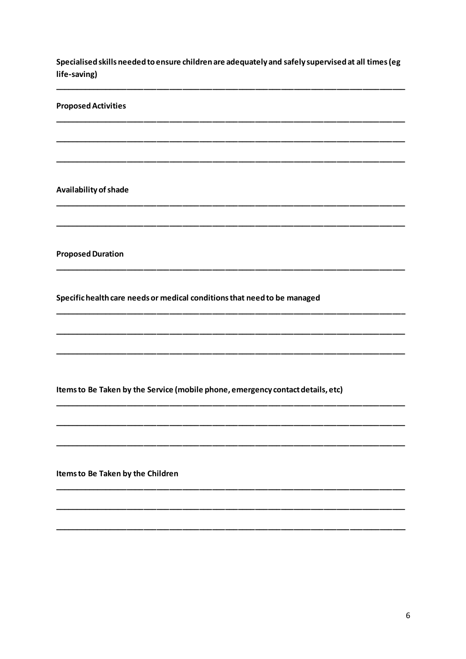Specialised skills needed to ensure children are adequately and safely supervised at all times (eg life-saving)

Availability of shade

**Proposed Duration** 

**Proposed Activities** 

Specific health care needs or medical conditions that need to be managed

Items to Be Taken by the Service (mobile phone, emergency contact details, etc)

Items to Be Taken by the Children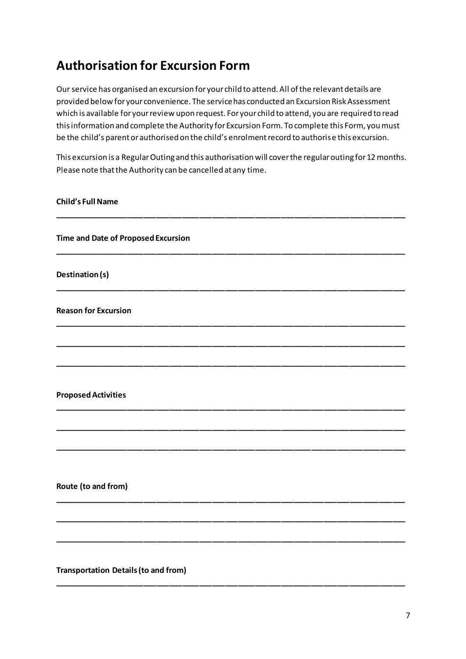# **Authorisation for Excursion Form**

Our service has organised an excursion for your child to attend. All of the relevant details are provided below for your convenience. The service has conducted an Excursion Risk Assessment which is available for your review upon request. For your child to attend, you are required to read this information and complete the Authority for Excursion Form. To complete this Form, you must be the child's parent or authorised on the child's enrolment record to authorise this excursion.

This excursion is a Regular Outing and this authorisation will cover the regular outing for 12 months. Please note that the Authority can be cancelled at any time.

### **Child's Full Name**

| Time and Date of Proposed Excursion |  |  |  |
|-------------------------------------|--|--|--|
| Destination(s)                      |  |  |  |
| <b>Reason for Excursion</b>         |  |  |  |
|                                     |  |  |  |
|                                     |  |  |  |
| <b>Proposed Activities</b>          |  |  |  |
|                                     |  |  |  |
|                                     |  |  |  |
| Route (to and from)                 |  |  |  |
|                                     |  |  |  |
|                                     |  |  |  |

**\_\_\_\_\_\_\_\_\_\_\_\_\_\_\_\_\_\_\_\_\_\_\_\_\_\_\_\_\_\_\_\_\_\_\_\_\_\_\_\_\_\_\_\_\_\_\_\_\_\_\_\_\_\_\_\_\_\_\_\_\_\_\_\_\_\_\_\_\_\_\_\_\_\_\_\_\_\_\_\_\_\_**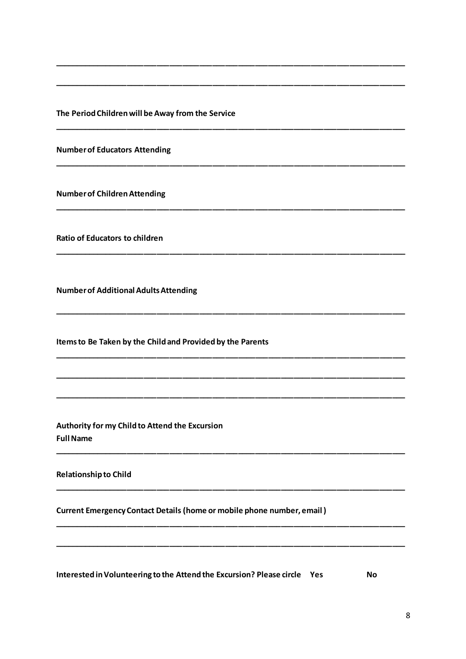The Period Children will be Away from the Service

**Number of Educators Attending** 

**Number of Children Attending** 

**Ratio of Educators to children** 

**Number of Additional Adults Attending** 

Items to Be Taken by the Child and Provided by the Parents

Authority for my Child to Attend the Excursion **Full Name** 

**Relationship to Child** 

**Current Emergency Contact Details (home or mobile phone number, email)** 

Interested in Volunteering to the Attend the Excursion? Please circle Yes

**No**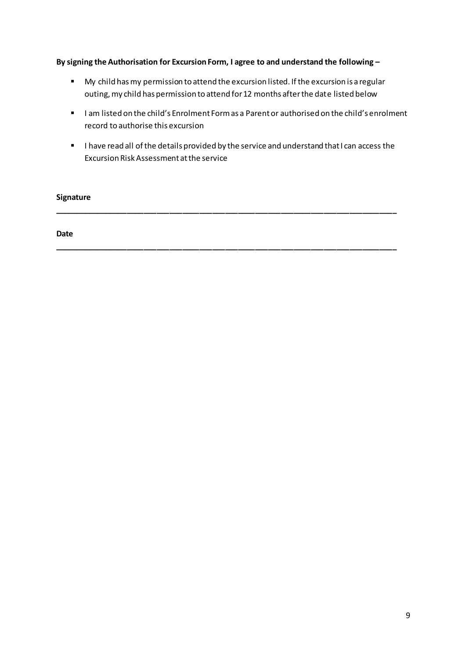#### **By signing the Authorisation for Excursion Form, I agree to and understand the following –**

- My child has my permission to attend the excursion listed. If the excursion is a regular outing, my child has permission to attend for 12 months after the date listed below
- **■** I am listed on the child's Enrolment Form as a Parent or authorised on the child's enrolment record to authorise this excursion
- I have read all of the details provided by the service and understand that I can access the Excursion Risk Assessment at the service

**\_\_\_\_\_\_\_\_\_\_\_\_\_\_\_\_\_\_\_\_\_\_\_\_\_\_\_\_\_\_\_\_\_\_\_\_\_\_\_\_\_\_\_\_\_\_\_\_\_\_\_\_\_\_\_\_\_\_\_\_\_\_\_\_\_\_\_\_\_\_\_\_\_\_\_\_\_\_\_\_**

**\_\_\_\_\_\_\_\_\_\_\_\_\_\_\_\_\_\_\_\_\_\_\_\_\_\_\_\_\_\_\_\_\_\_\_\_\_\_\_\_\_\_\_\_\_\_\_\_\_\_\_\_\_\_\_\_\_\_\_\_\_\_\_\_\_\_\_\_\_\_\_\_\_\_\_\_\_\_\_\_**

#### **Signature**

**Date**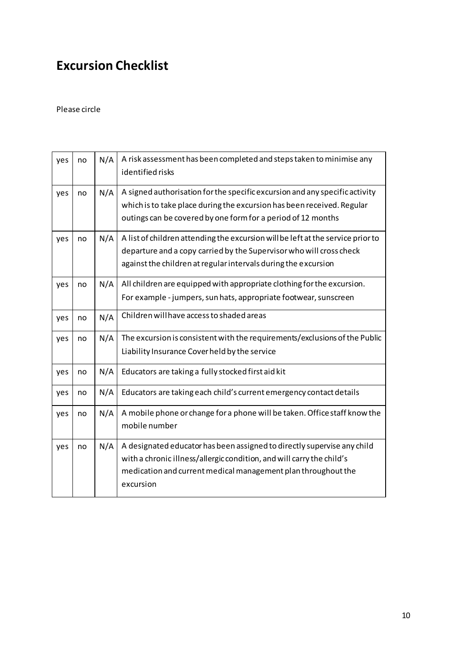# **Excursion Checklist**

#### Please circle

| yes | no | N/A | A risk assessment has been completed and steps taken to minimise any<br>identified risks                                                                                                                                       |
|-----|----|-----|--------------------------------------------------------------------------------------------------------------------------------------------------------------------------------------------------------------------------------|
| yes | no | N/A | A signed authorisation for the specific excursion and any specific activity<br>which is to take place during the excursion has been received. Regular<br>outings can be covered by one form for a period of 12 months          |
| yes | no | N/A | A list of children attending the excursion will be left at the service prior to<br>departure and a copy carried by the Supervisor who will cross check<br>against the children at regular intervals during the excursion       |
| yes | no | N/A | All children are equipped with appropriate clothing for the excursion.<br>For example - jumpers, sun hats, appropriate footwear, sunscreen                                                                                     |
| yes | no | N/A | Children will have access to shaded areas                                                                                                                                                                                      |
| yes | no | N/A | The excursion is consistent with the requirements/exclusions of the Public<br>Liability Insurance Cover held by the service                                                                                                    |
| yes | no | N/A | Educators are taking a fully stocked first aid kit                                                                                                                                                                             |
| yes | no | N/A | Educators are taking each child's current emergency contact details                                                                                                                                                            |
| yes | no | N/A | A mobile phone or change for a phone will be taken. Office staff know the<br>mobile number                                                                                                                                     |
| yes | no | N/A | A designated educator has been assigned to directly supervise any child<br>with a chronic illness/allergic condition, and will carry the child's<br>medication and current medical management plan throughout the<br>excursion |